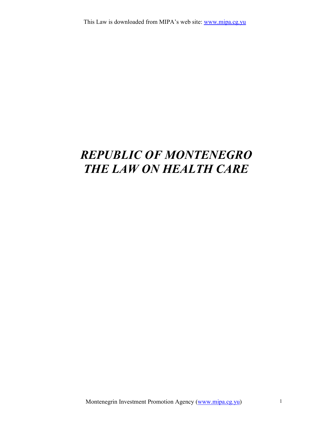# REPUBLIC OF MONTENEGRO THE LAW ON HEALTH CARE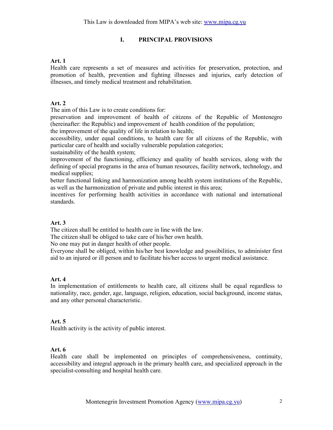## I. PRINCIPAL PROVISIONS

## Art. 1

Health care represents a set of measures and activities for preservation, protection, and promotion of health, prevention and fighting illnesses and injuries, early detection of illnesses, and timely medical treatment and rehabilitation.

## Art. 2

The aim of this Law is to create conditions for:

preservation and improvement of health of citizens of the Republic of Montenegro (hereinafter: the Republic) and improvement of health condition of the population;

the improvement of the quality of life in relation to health;

accessibility, under equal conditions, to health care for all citizens of the Republic, with particular care of health and socially vulnerable population categories;

sustainability of the health system;

improvement of the functioning, efficiency and quality of health services, along with the defining of special programs in the area of human resources, facility network, technology, and medical supplies;

better functional linking and harmonization among health system institutions of the Republic, as well as the harmonization of private and public interest in this area;

incentives for performing health activities in accordance with national and international standards.

## Art. 3

The citizen shall be entitled to health care in line with the law.

The citizen shall be obliged to take care of his/her own health.

No one may put in danger health of other people.

Everyone shall be obliged, within his/her best knowledge and possibilities, to administer first aid to an injured or ill person and to facilitate his/her access to urgent medical assistance.

## Art. 4

In implementation of entitlements to health care, all citizens shall be equal regardless to nationality, race, gender, age, language, religion, education, social background, income status, and any other personal characteristic.

## Art. 5

Health activity is the activity of public interest.

## Art. 6

Health care shall be implemented on principles of comprehensiveness, continuity, accessibility and integral approach in the primary health care, and specialized approach in the specialist-consulting and hospital health care.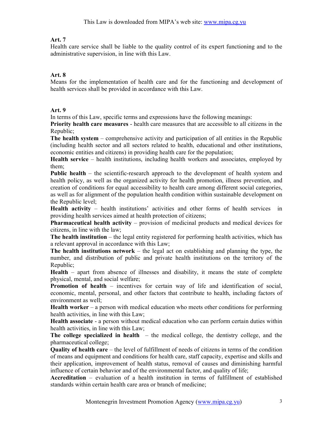Health care service shall be liable to the quality control of its expert functioning and to the administrative supervision, in line with this Law.

## Art. 8

Means for the implementation of health care and for the functioning and development of health services shall be provided in accordance with this Law.

## Art. 9

In terms of this Law, specific terms and expressions have the following meanings:

Priority health care measures - health care measures that are accessible to all citizens in the Republic;

The health system – comprehensive activity and participation of all entities in the Republic (including health sector and all sectors related to health, educational and other institutions, economic entities and citizens) in providing health care for the population;

Health service – health institutions, including health workers and associates, employed by them;

Public health – the scientific-research approach to the development of health system and health policy, as well as the organized activity for health promotion, illness prevention, and creation of conditions for equal accessibility to health care among different social categories, as well as for alignment of the population health condition within sustainable development on the Republic level;

Health activity – health institutions' activities and other forms of health services in providing health services aimed at health protection of citizens;

Pharmaceutical health activity – provision of medicinal products and medical devices for citizens, in line with the law;

The health institution – the legal entity registered for performing health activities, which has a relevant approval in accordance with this Law;

The health institutions network – the legal act on establishing and planning the type, the number, and distribution of public and private health institutions on the territory of the Republic;

Health – apart from absence of illnesses and disability, it means the state of complete physical, mental, and social welfare;

Promotion of health – incentives for certain way of life and identification of social, economic, mental, personal, and other factors that contribute to health, including factors of environment as well;

Health worker – a person with medical education who meets other conditions for performing health activities, in line with this Law;

Health associate - a person without medical education who can perform certain duties within health activities, in line with this Law;

The college specialized in health  $-$  the medical college, the dentistry college, and the pharmaceutical college;

Quality of health care – the level of fulfillment of needs of citizens in terms of the condition of means and equipment and conditions for health care, staff capacity, expertise and skills and their application, improvement of health status, removal of causes and diminishing harmful influence of certain behavior and of the environmental factor, and quality of life;

Accreditation – evaluation of a health institution in terms of fulfillment of established standards within certain health care area or branch of medicine;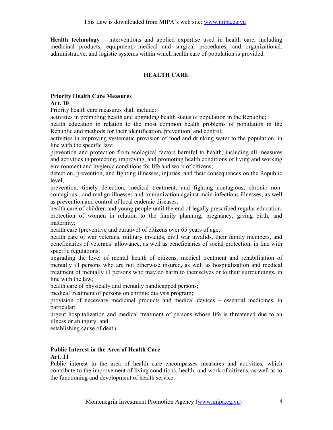Health technology – interventions and applied expertise used in health care, including medicinal products, equipment, medical and surgical procedures, and organizational, administrative, and logistic systems within which health care of population is provided.

## HEALTH CARE

#### Priority Health Care Measures Art. 10

Priority health care measures shall include:

activities in promoting health and upgrading health status of population in the Republic;

health education in relation to the most common health problems of population in the Republic and methods for their identification, prevention, and control;

activities in improving systematic provision of food and drinking water to the population, in line with the specific law;

prevention and protection from ecological factors harmful to health, including all measures and activities in protecting, improving, and promoting health conditions of living and working environment and hygienic conditions for life and work of citizens;

detection, prevention, and fighting illnesses, injuries, and their consequences on the Republic level;

prevention, timely detection, medical treatment, and fighting contagious, chronic noncontagious , and malign illnesses and immunization against main infectious illnesses, as well as prevention and control of local endemic diseases;

health care of children and young people until the end of legally prescribed regular education, protection of women in relation to the family planning, pregnancy, giving birth, and maternity;

health care (preventive and curative) of citizens over 65 years of age;

health care of war veterans, military invalids, civil war invalids, their family members, and beneficiaries of veterans' allowance, as well as beneficiaries of social protection, in line with specific regulations;

upgrading the level of mental health of citizens, medical treatment and rehabilitation of mentally ill persons who are not otherwise insured, as well as hospitalization and medical treatment of mentally ill persons who may do harm to themselves or to their surroundings, in line with the law;

health care of physically and mentally handicapped persons;

medical treatment of persons on chronic dialysis program;

provision of necessary medicinal products and medical devices – essential medicines, in particular;

urgent hospitalization and medical treatment of persons whose life is threatened due to an illness or an injury; and

establishing cause of death.

## Public Interest in the Area of Health Care

#### Art. 11

Public interest in the area of health care encompasses measures and activities, which contribute to the improvement of living conditions, health, and work of citizens, as well as to the functioning and development of health service.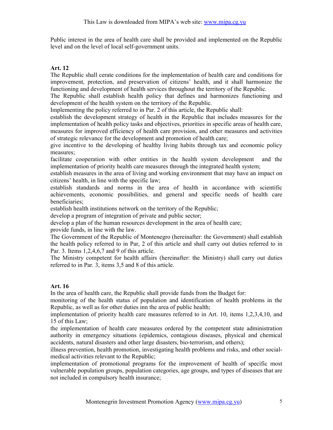Public interest in the area of health care shall be provided and implemented on the Republic level and on the level of local self-government units.

## Art. 12

The Republic shall cerate conditions for the implementation of health care and conditions for improvement, protection, and preservation of citizens' health, and it shall harmonize the functioning and development of health services throughout the territory of the Republic.

The Republic shall establish health policy that defines and harmonizes functioning and development of the health system on the territory of the Republic.

Implementing the policy referred to in Par. 2 of this article, the Republic shall:

establish the development strategy of health in the Republic that includes measures for the implementation of health policy tasks and objectives, priorities in specific areas of health care, measures for improved efficiency of health care provision, and other measures and activities of strategic relevance for the development and promotion of health care;

give incentive to the developing of healthy living habits through tax and economic policy measures;

facilitate cooperation with other entities in the health system development and the implementation of priority health care measures through the integrated health system;

establish measures in the area of living and working environment that may have an impact on citizens' health, in line with the specific law;

establish standards and norms in the area of health in accordance with scientific achievements, economic possibilities, and general and specific needs of health care beneficiaries;

establish health institutions network on the territory of the Republic;

develop a program of integration of private and public sector;

develop a plan of the human resources development in the area of health care;

provide funds, in line with the law.

The Government of the Republic of Montenegro (hereinafter: the Government) shall establish the health policy referred to in Par, 2 of this article and shall carry out duties referred to in Par. 3. Items 1,2,4,6,7 and 9 of this article.

The Ministry competent for health affairs (hereinafter: the Ministry) shall carry out duties referred to in Par. 3, items 3,5 and 8 of this article.

## Art. 16

In the area of health care, the Republic shall provide funds from the Budget for:

monitoring of the health status of population and identification of health problems in the Republic, as well as for other duties inn the area of public health;

implementation of priority health care measures referred to in Art. 10, items 1,2,3,4,10, and 15 of this Law;

the implementation of health care measures ordered by the competent state administration authority in emergency situations (epidemics, contagious diseases, physical and chemical accidents, natural disasters and other large disasters, bio-terrorism, and others);

illness prevention, health promotion, investigating health problems and risks, and other socialmedical activities relevant to the Republic;

implementation of promotional programs for the improvement of health of specific most vulnerable population groups, population categories, age groups, and types of diseases that are not included in compulsory health insurance;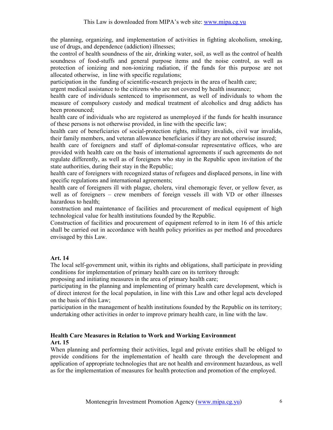the planning, organizing, and implementation of activities in fighting alcoholism, smoking, use of drugs, and dependence (addiction) illnesses;

the control of health soundness of the air, drinking water, soil, as well as the control of health soundness of food-stuffs and general purpose items and the noise control, as well as protection of ionizing and non-ionizing radiation, if the funds for this purpose are not allocated otherwise, in line with specific regulations;

participation in the funding of scientific-research projects in the area of health care;

urgent medical assistance to the citizens who are not covered by health insurance;

health care of individuals sentenced to imprisonment, as well of individuals to whom the measure of compulsory custody and medical treatment of alcoholics and drug addicts has been pronounced;

health care of individuals who are registered as unemployed if the funds for health insurance of these persons is not otherwise provided, in line with the specific law;

health care of beneficiaries of social-protection rights, military invalids, civil war invalids, their family members, and veteran allowance beneficiaries if they are not otherwise insured;

health care of foreigners and staff of diplomat-consular representative offices, who are provided with health care on the basis of international agreements if such agreements do not regulate differently, as well as of foreigners who stay in the Republic upon invitation of the state authorities, during their stay in the Republic;

health care of foreigners with recognized status of refugees and displaced persons, in line with specific regulations and international agreements;

health care of foreigners ill with plague, cholera, viral chemoragic fever, or yellow fever, as well as of foreigners – crew members of foreign vessels ill with VD or other illnesses hazardous to health;

construction and maintenance of facilities and procurement of medical equipment of high technological value for health institutions founded by the Republic.

Construction of facilities and procurement of equipment referred to in item 16 of this article shall be carried out in accordance with health policy priorities as per method and procedures envisaged by this Law.

## Art. 14

The local self-government unit, within its rights and obligations, shall participate in providing conditions for implementation of primary health care on its territory through:

proposing and initiating measures in the area of primary health care;

participating in the planning and implementing of primary health care development, which is of direct interest for the local population, in line with this Law and other legal acts developed on the basis of this Law;

participation in the management of health institutions founded by the Republic on its territory; undertaking other activities in order to improve primary health care, in line with the law.

## Health Care Measures in Relation to Work and Working Environment Art. 15

When planning and performing their activities, legal and private entities shall be obliged to provide conditions for the implementation of health care through the development and application of appropriate technologies that are not health and environment hazardous, as well as for the implementation of measures for health protection and promotion of the employed.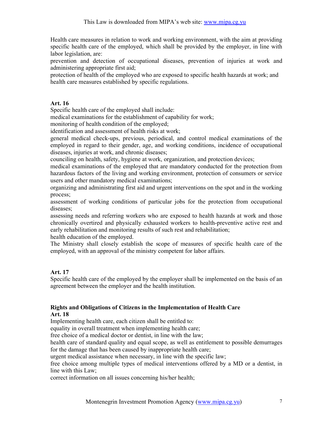Health care measures in relation to work and working environment, with the aim at providing specific health care of the employed, which shall be provided by the employer, in line with labor legislation, are:

prevention and detection of occupational diseases, prevention of injuries at work and administering appropriate first aid;

protection of health of the employed who are exposed to specific health hazards at work; and health care measures established by specific regulations.

## Art. 16

Specific health care of the employed shall include:

medical examinations for the establishment of capability for work;

monitoring of health condition of the employed;

identification and assessment of health risks at work;

general medical check-ups, previous, periodical, and control medical examinations of the employed in regard to their gender, age, and working conditions, incidence of occupational diseases, injuries at work, and chronic diseases;

counciling on health, safety, hygiene at work, organization, and protection devices;

medical examinations of the employed that are mandatory conducted for the protection from hazardous factors of the living and working environment, protection of consumers or service users and other mandatory medical examinations;

organizing and administrating first aid and urgent interventions on the spot and in the working process;

assessment of working conditions of particular jobs for the protection from occupational diseases;

assessing needs and referring workers who are exposed to health hazards at work and those chronically overtired and physically exhausted workers to health-preventive active rest and early rehabilitation and monitoring results of such rest and rehabilitation;

health education of the employed.

The Ministry shall closely establish the scope of measures of specific health care of the employed, with an approval of the ministry competent for labor affairs.

## Art. 17

Specific health care of the employed by the employer shall be implemented on the basis of an agreement between the employer and the health institution.

#### Rights and Obligations of Citizens in the Implementation of Health Care Art. 18

Implementing health care, each citizen shall be entitled to:

equality in overall treatment when implementing health care;

free choice of a medical doctor or dentist, in line with the law;

health care of standard quality and equal scope, as well as entitlement to possible demurrages for the damage that has been caused by inappropriate health care;

urgent medical assistance when necessary, in line with the specific law;

free choice among multiple types of medical interventions offered by a MD or a dentist, in line with this Law;

correct information on all issues concerning his/her health;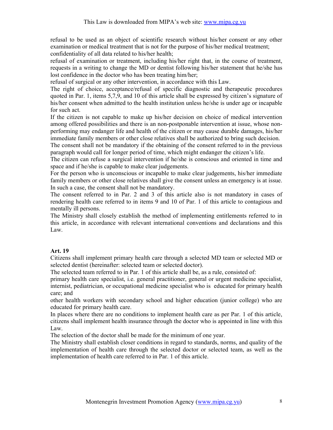refusal to be used as an object of scientific research without his/her consent or any other examination or medical treatment that is not for the purpose of his/her medical treatment; confidentiality of all data related to his/her health;

refusal of examination or treatment, including his/her right that, in the course of treatment, requests in a writing to change the MD or dentist following his/her statement that he/she has lost confidence in the doctor who has been treating him/her;

refusal of surgical or any other intervention, in accordance with this Law.

The right of choice, acceptance/refusal of specific diagnostic and therapeutic procedures quoted in Par. 1, items 5,7,9, and 10 of this article shall be expressed by citizen's signature of his/her consent when admitted to the health institution unless he/she is under age or incapable for such act.

If the citizen is not capable to make up his/her decision on choice of medical intervention among offered possibilities and there is an non-postponable intervention at issue, whose nonperforming may endanger life and health of the citizen or may cause durable damages, his/her immediate family members or other close relatives shall be authorized to bring such decision.

The consent shall not be mandatory if the obtaining of the consent referred to in the previous paragraph would call for longer period of time, which might endanger the citizen's life.

The citizen can refuse a surgical intervention if he/she is conscious and oriented in time and space and if he/she is capable to make clear judgements.

For the person who is unconscious or incapable to make clear judgements, his/her immediate family members or other close relatives shall give the consent unless an emergency is at issue. In such a case, the consent shall not be mandatory.

The consent referred to in Par. 2 and 3 of this article also is not mandatory in cases of rendering health care referred to in items 9 and 10 of Par. 1 of this article to contagious and mentally ill persons.

The Ministry shall closely establish the method of implementing entitlements referred to in this article, in accordance with relevant international conventions and declarations and this Law.

## Art. 19

Citizens shall implement primary health care through a selected MD team or selected MD or selected dentist (hereinafter: selected team or selected doctor).

The selected team referred to in Par. 1 of this article shall be, as a rule, consisted of:

primary health care specialist, i.e. general practitioner, general or urgent medicine specialist, internist, pediatrician, or occupational medicine specialist who is educated for primary health care; and

other health workers with secondary school and higher education (junior college) who are educated for primary health care.

In places where there are no conditions to implement health care as per Par. 1 of this article, citizens shall implement health insurance through the doctor who is appointed in line with this Law.

The selection of the doctor shall be made for the minimum of one year.

The Ministry shall establish closer conditions in regard to standards, norms, and quality of the implementation of health care through the selected doctor or selected team, as well as the implementation of health care referred to in Par. 1 of this article.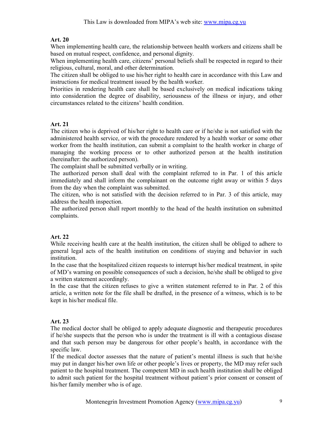When implementing health care, the relationship between health workers and citizens shall be based on mutual respect, confidence, and personal dignity.

When implementing health care, citizens' personal beliefs shall be respected in regard to their religious, cultural, moral, and other determination.

The citizen shall be obliged to use his/her right to health care in accordance with this Law and instructions for medical treatment issued by the health worker.

Priorities in rendering health care shall be based exclusively on medical indications taking into consideration the degree of disability, seriousness of the illness or injury, and other circumstances related to the citizens' health condition.

## Art. 21

The citizen who is deprived of his/her right to health care or if he/she is not satisfied with the administered health service, or with the procedure rendered by a health worker or some other worker from the health institution, can submit a complaint to the health worker in charge of managing the working process or to other authorized person at the health institution (hereinafter: the authorized person).

The complaint shall be submitted verbally or in writing.

The authorized person shall deal with the complaint referred to in Par. 1 of this article immediately and shall inform the complainant on the outcome right away or within 5 days from the day when the complaint was submitted.

The citizen, who is not satisfied with the decision referred to in Par. 3 of this article, may address the health inspection.

The authorized person shall report monthly to the head of the health institution on submitted complaints.

## Art. 22

While receiving health care at the health institution, the citizen shall be obliged to adhere to general legal acts of the health institution on conditions of staying and behavior in such institution.

In the case that the hospitalized citizen requests to interrupt his/her medical treatment, in spite of MD's warning on possible consequences of such a decision, he/she shall be obliged to give a written statement accordingly.

In the case that the citizen refuses to give a written statement referred to in Par. 2 of this article, a written note for the file shall be drafted, in the presence of a witness, which is to be kept in his/her medical file.

# Art. 23

The medical doctor shall be obliged to apply adequate diagnostic and therapeutic procedures if he/she suspects that the person who is under the treatment is ill with a contagious disease and that such person may be dangerous for other people's health, in accordance with the specific law.

If the medical doctor assesses that the nature of patient's mental illness is such that he/she may put in danger his/her own life or other people's lives or property, the MD may refer such patient to the hospital treatment. The competent MD in such health institution shall be obliged to admit such patient for the hospital treatment without patient's prior consent or consent of his/her family member who is of age.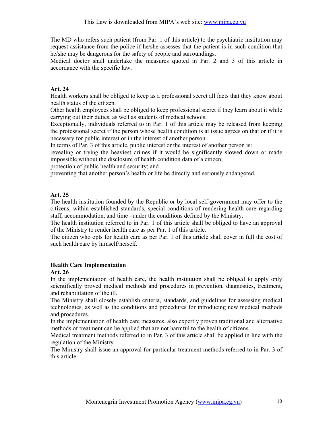The MD who refers such patient (from Par. 1 of this article) to the psychiatric institution may request assistance from the police if he/she assesses that the patient is in such condition that he/she may be dangerous for the safety of people and surroundings.

Medical doctor shall undertake the measures quoted in Par. 2 and 3 of this article in accordance with the specific law.

## Art. 24

Health workers shall be obliged to keep as a professional secret all facts that they know about health status of the citizen.

Other health employees shall be obliged to keep professional secret if they learn about it while carrying out their duties, as well as students of medical schools.

Exceptionally, individuals referred to in Par. 1 of this article may be released from keeping the professional secret if the person whose health condition is at issue agrees on that or if it is necessary for public interest or in the interest of another person.

In terms of Par. 3 of this article, public interest or the interest of another person is:

revealing or trying the heaviest crimes if it would be significantly slowed down or made impossible without the disclosure of health condition data of a citizen;

protection of public health and security; and

preventing that another person's health or life be directly and seriously endangered.

## Art. 25

The health institution founded by the Republic or by local self-government may offer to the citizens, within established standards, special conditions of rendering health care regarding staff, accommodation, and time –under the conditions defined by the Ministry.

The health institution referred to in Par. 1 of this article shall be obliged to have an approval of the Ministry to render health care as per Par. 1 of this article.

The citizen who opts for health care as per Par. 1 of this article shall cover in full the cost of such health care by himself/herself.

## Health Care Implementation

#### Art. 26

In the implementation of health care, the health institution shall be obliged to apply only scientifically proved medical methods and procedures in prevention, diagnostics, treatment, and rehabilitation of the ill.

The Ministry shall closely establish criteria, standards, and guidelines for assessing medical technologies, as well as the conditions and procedures for introducing new medical methods and procedures.

In the implementation of health care measures, also expertly proven traditional and alternative methods of treatment can be applied that are not harmful to the health of citizens.

Medical treatment methods referred to in Par. 3 of this article shall be applied in line with the regulation of the Ministry.

The Ministry shall issue an approval for particular treatment methods referred to in Par. 3 of this article.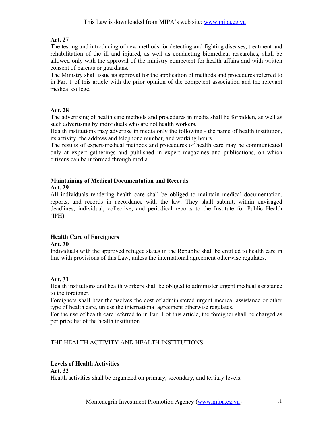The testing and introducing of new methods for detecting and fighting diseases, treatment and rehabilitation of the ill and injured, as well as conducting biomedical researches, shall be allowed only with the approval of the ministry competent for health affairs and with written consent of parents or guardians.

The Ministry shall issue its approval for the application of methods and procedures referred to in Par. 1 of this article with the prior opinion of the competent association and the relevant medical college.

## Art. 28

The advertising of health care methods and procedures in media shall be forbidden, as well as such advertising by individuals who are not health workers.

Health institutions may advertise in media only the following - the name of health institution, its activity, the address and telephone number, and working hours.

The results of expert-medical methods and procedures of health care may be communicated only at expert gatherings and published in expert magazines and publications, on which citizens can be informed through media.

#### Maintaining of Medical Documentation and Records Art. 29

All individuals rendering health care shall be obliged to maintain medical documentation, reports, and records in accordance with the law. They shall submit, within envisaged deadlines, individual, collective, and periodical reports to the Institute for Public Health (IPH).

# Health Care of Foreigners

Art. 30

Individuals with the approved refugee status in the Republic shall be entitled to health care in line with provisions of this Law, unless the international agreement otherwise regulates.

## Art. 31

Health institutions and health workers shall be obliged to administer urgent medical assistance to the foreigner.

Foreigners shall bear themselves the cost of administered urgent medical assistance or other type of health care, unless the international agreement otherwise regulates.

For the use of health care referred to in Par. 1 of this article, the foreigner shall be charged as per price list of the health institution.

## THE HEALTH ACTIVITY AND HEALTH INSTITUTIONS

## Levels of Health Activities

Art. 32 Health activities shall be organized on primary, secondary, and tertiary levels.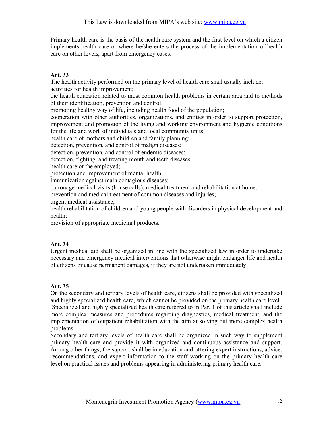Primary health care is the basis of the health care system and the first level on which a citizen implements health care or where he/she enters the process of the implementation of health care on other levels, apart from emergency cases.

## Art. 33

The health activity performed on the primary level of health care shall usually include: activities for health improvement;

the health education related to most common health problems in certain area and to methods of their identification, prevention and control;

promoting healthy way of life, including health food of the population;

cooperation with other authorities, organizations, and entities in order to support protection, improvement and promotion of the living and working environment and hygienic conditions for the life and work of individuals and local community units;

health care of mothers and children and family planning;

detection, prevention, and control of malign diseases;

detection, prevention, and control of endemic diseases;

detection, fighting, and treating mouth and teeth diseases;

health care of the employed;

protection and improvement of mental health;

immunization against main contagious diseases;

patronage medical visits (house calls), medical treatment and rehabilitation at home;

prevention and medical treatment of common diseases and injuries;

urgent medical assistance;

health rehabilitation of children and young people with disorders in physical development and health;

provision of appropriate medicinal products.

## Art. 34

Urgent medical aid shall be organized in line with the specialized law in order to undertake necessary and emergency medical interventions that otherwise might endanger life and health of citizens or cause permanent damages, if they are not undertaken immediately.

## Art. 35

On the secondary and tertiary levels of health care, citizens shall be provided with specialized and highly specialized health care, which cannot be provided on the primary health care level.

 Specialized and highly specialized health care referred to in Par. 1 of this article shall include more complex measures and procedures regarding diagnostics, medical treatment, and the implementation of outpatient rehabilitation with the aim at solving out more complex health problems.

Secondary and tertiary levels of health care shall be organized in such way to supplement primary health care and provide it with organized and continuous assistance and support. Among other things, the support shall be in education and offering expert instructions, advice, recommendations, and expert information to the staff working on the primary health care level on practical issues and problems appearing in administering primary health care.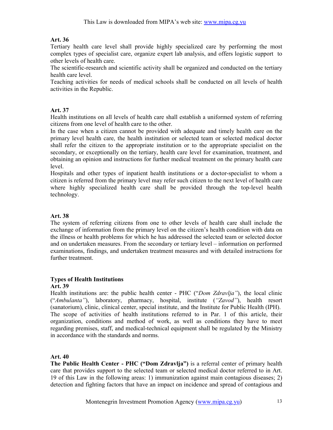Tertiary health care level shall provide highly specialized care by performing the most complex types of specialist care, organize expert lab analysis, and offers logistic support to other levels of health care.

The scientific-research and scientific activity shall be organized and conducted on the tertiary health care level.

Teaching activities for needs of medical schools shall be conducted on all levels of health activities in the Republic.

## Art. 37

Health institutions on all levels of health care shall establish a uniformed system of referring citizens from one level of health care to the other.

In the case when a citizen cannot be provided with adequate and timely health care on the primary level health care, the health institution or selected team or selected medical doctor shall refer the citizen to the appropriate institution or to the appropriate specialist on the secondary, or exceptionally on the tertiary, health care level for examination, treatment, and obtaining an opinion and instructions for further medical treatment on the primary health care level.

Hospitals and other types of inpatient health institutions or a doctor-specialist to whom a citizen is referred from the primary level may refer such citizen to the next level of health care where highly specialized health care shall be provided through the top-level health technology.

## Art. 38

The system of referring citizens from one to other levels of health care shall include the exchange of information from the primary level on the citizen's health condition with data on the illness or health problems for which he has addressed the selected team or selected doctor and on undertaken measures. From the secondary or tertiary level – information on performed examinations, findings, and undertaken treatment measures and with detailed instructions for further treatment.

## Types of Health Institutions

## Art. 39

Health institutions are: the public health center - PHC ("*Dom Zdravlja*"), the local clinic ("Ambulanta"), laboratory, pharmacy, hospital, institute ("Zavod"), health resort (sanatorium), clinic, clinical center, special institute, and the Institute for Public Health (IPH). The scope of activities of health institutions referred to in Par. 1 of this article, their organization, conditions and method of work, as well as conditions they have to meet regarding premises, staff, and medical-technical equipment shall be regulated by the Ministry in accordance with the standards and norms.

## Art. 40

The Public Health Center - PHC ("Dom Zdravlja") is a referral center of primary health care that provides support to the selected team or selected medical doctor referred to in Art. 19 of this Law in the following areas: 1) immunization against main contagious diseases; 2) detection and fighting factors that have an impact on incidence and spread of contagious and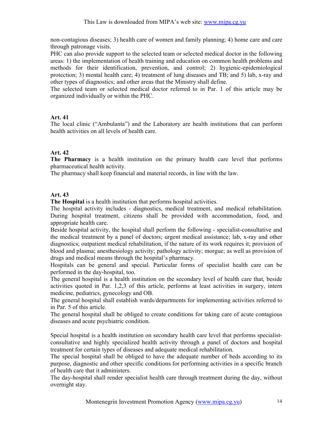non-contagious diseases; 3) health care of women and family planning; 4) home care and care through patronage visits.

PHC can also provide support to the selected team or selected medical doctor in the following areas: 1) the implementation of health training and education on common health problems and methods for their identification, prevention, and control; 2) hygienic-epidemiological protection; 3) mental health care; 4) treatment of lung diseases and TB; and 5) lab, x-ray and other types of diagnostics; and other areas that the Ministry shall define.

The selected team or selected medical doctor referred to in Par. 1 of this article may be organized individually or within the PHC.

# Art. 41

The local clinic ("Ambulanta") and the Laboratory are health institutions that can perform health activities on all levels of health care.

# Art. 42

The Pharmacy is a health institution on the primary health care level that performs pharmaceutical health activity.

The pharmacy shall keep financial and material records, in line with the law.

# Art. 43

The Hospital is a health institution that performs hospital activities.

The hospital activity includes - diagnostics, medical treatment, and medical rehabilitation. During hospital treatment, citizens shall be provided with accommodation, food, and appropriate health care.

Beside hospital activity, the hospital shall perform the following - specialist-consultative and the medical treatment by a panel of doctors; urgent medical assistance; lab, x-ray and other diagnostics; outpatient medical rehabilitation, if the nature of its work requires it; provision of blood and plasma; anesthesiology activity; pathology activity; morgue; as well as provision of drugs and medical means through the hospital's pharmacy.

Hospitals can be general and special. Particular forms of specialist health care can be performed in the day-hospital, too.

The general hospital is a health institution on the secondary level of health care that, beside activities quoted in Par. 1,2,3 of this article, performs at least activities in surgery, intern medicine, pediatrics, gynecology and OB.

The general hospital shall establish wards/departments for implementing activities referred to in Par. 5 of this article.

The general hospital shall be obliged to create conditions for taking care of acute contagious diseases and acute psychiatric condition.

Special hospital is a health institution on secondary health care level that performs specialistconsultative and highly specialized health activity through a panel of doctors and hospital treatment for certain types of diseases and adequate medical rehabilitation.

The special hospital shall be obliged to have the adequate number of beds according to its purpose, diagnostic and other specific conditions for performing activities in a specific branch of health care that it administers.

The day-hospital shall render specialist health care through treatment during the day, without overnight stay.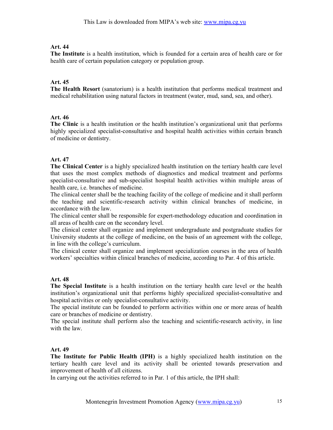The Institute is a health institution, which is founded for a certain area of health care or for health care of certain population category or population group.

## Art. 45

The Health Resort (sanatorium) is a health institution that performs medical treatment and medical rehabilitation using natural factors in treatment (water, mud, sand, sea, and other).

## Art. 46

The Clinic is a health institution or the health institution's organizational unit that performs highly specialized specialist-consultative and hospital health activities within certain branch of medicine or dentistry.

## Art. 47

The Clinical Center is a highly specialized health institution on the tertiary health care level that uses the most complex methods of diagnostics and medical treatment and performs specialist-consultative and sub-specialist hospital health activities within multiple areas of health care, i.e. branches of medicine.

The clinical center shall be the teaching facility of the college of medicine and it shall perform the teaching and scientific-research activity within clinical branches of medicine, in accordance with the law.

The clinical center shall be responsible for expert-methodology education and coordination in all areas of health care on the secondary level.

The clinical center shall organize and implement undergraduate and postgraduate studies for University students at the college of medicine, on the basis of an agreement with the college, in line with the college's curriculum.

The clinical center shall organize and implement specialization courses in the area of health workers' specialties within clinical branches of medicine, according to Par. 4 of this article.

## Art. 48

The Special Institute is a health institution on the tertiary health care level or the health institution's organizational unit that performs highly specialized specialist-consultative and hospital activities or only specialist-consultative activity.

The special institute can be founded to perform activities within one or more areas of health care or branches of medicine or dentistry.

The special institute shall perform also the teaching and scientific-research activity, in line with the law.

## Art. 49

The Institute for Public Health (IPH) is a highly specialized health institution on the tertiary health care level and its activity shall be oriented towards preservation and improvement of health of all citizens.

In carrying out the activities referred to in Par. 1 of this article, the IPH shall: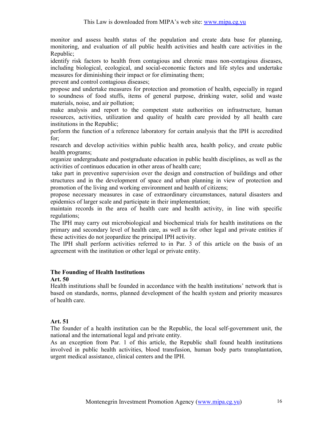monitor and assess health status of the population and create data base for planning, monitoring, and evaluation of all public health activities and health care activities in the Republic;

identify risk factors to health from contagious and chronic mass non-contagious diseases, including biological, ecological, and social-economic factors and life styles and undertake measures for diminishing their impact or for eliminating them;

prevent and control contagious diseases;

propose and undertake measures for protection and promotion of health, especially in regard to soundness of food stuffs, items of general purpose, drinking water, solid and waste materials, noise, and air pollution;

make analysis and report to the competent state authorities on infrastructure, human resources, activities, utilization and quality of health care provided by all health care institutions in the Republic;

perform the function of a reference laboratory for certain analysis that the IPH is accredited for;

research and develop activities within public health area, health policy, and create public health programs;

organize undergraduate and postgraduate education in public health disciplines, as well as the activities of continuos education in other areas of health care;

 take part in preventive supervision over the design and construction of buildings and other structures and in the development of space and urban planning in view of protection and promotion of the living and working environment and health of citizens;

propose necessary measures in case of extraordinary circumstances, natural disasters and epidemics of larger scale and participate in their implementation;

maintain records in the area of health care and health activity, in line with specific regulations;

The IPH may carry out microbiological and biochemical trials for health institutions on the primary and secondary level of health care, as well as for other legal and private entities if these activities do not jeopardize the principal IPH activity.

The IPH shall perform activities referred to in Par. 3 of this article on the basis of an agreement with the institution or other legal or private entity.

#### The Founding of Health Institutions

Art. 50

Health institutions shall be founded in accordance with the health institutions' network that is based on standards, norms, planned development of the health system and priority measures of health care.

## Art. 51

The founder of a health institution can be the Republic, the local self-government unit, the national and the international legal and private entity.

As an exception from Par. 1 of this article, the Republic shall found health institutions involved in public health activities, blood transfusion, human body parts transplantation, urgent medical assistance, clinical centers and the IPH.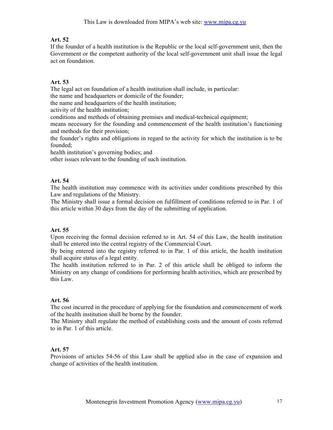If the founder of a health institution is the Republic or the local self-government unit, then the Government or the competent authority of the local self-government unit shall issue the legal act on foundation.

## Art. 53

The legal act on foundation of a health institution shall include, in particular:

the name and headquarters or domicile of the founder;

the name and headquarters of the health institution;

activity of the health institution;

conditions and methods of obtaining premises and medical-technical equipment;

means necessary for the founding and commencement of the health institution's functioning and methods for their provision;

the founder's rights and obligations in regard to the activity for which the institution is to be founded;

health institution's governing bodies; and

other issues relevant to the founding of such institution.

## Art. 54

The health institution may commence with its activities under conditions prescribed by this Law and regulations of the Ministry.

The Ministry shall issue a formal decision on fulfillment of conditions referred to in Par. 1 of this article within 30 days from the day of the submitting of application.

## Art. 55

Upon receiving the formal decision referred to in Art. 54 of this Law, the health institution shall be entered into the central registry of the Commercial Court.

By being entered into the registry referred to in Par. 1 of this article, the health institution shall acquire status of a legal entity.

The health institution referred to in Par. 2 of this article shall be obliged to inform the Ministry on any change of conditions for performing health activities, which are prescribed by this Law.

## Art. 56

The cost incurred in the procedure of applying for the foundation and commencement of work of the health institution shall be borne by the founder.

The Ministry shall regulate the method of establishing costs and the amount of costs referred to in Par. 1 of this article.

## Art. 57

Provisions of articles 54-56 of this Law shall be applied also in the case of expansion and change of activities of the health institution.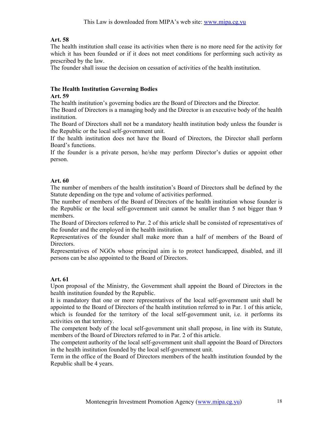The health institution shall cease its activities when there is no more need for the activity for which it has been founded or if it does not meet conditions for performing such activity as prescribed by the law.

The founder shall issue the decision on cessation of activities of the health institution.

## The Health Institution Governing Bodies

#### Art. 59

The health institution's governing bodies are the Board of Directors and the Director.

The Board of Directors is a managing body and the Director is an executive body of the health institution.

The Board of Directors shall not be a mandatory health institution body unless the founder is the Republic or the local self-government unit.

If the health institution does not have the Board of Directors, the Director shall perform Board's functions.

If the founder is a private person, he/she may perform Director's duties or appoint other person.

## Art. 60

The number of members of the health institution's Board of Directors shall be defined by the Statute depending on the type and volume of activities performed.

The number of members of the Board of Directors of the health institution whose founder is the Republic or the local self-government unit cannot be smaller than 5 not bigger than 9 members.

The Board of Directors referred to Par. 2 of this article shall be consisted of representatives of the founder and the employed in the health institution.

Representatives of the founder shall make more than a half of members of the Board of **Directors** 

Representatives of NGOs whose principal aim is to protect handicapped, disabled, and ill persons can be also appointed to the Board of Directors.

#### Art. 61

Upon proposal of the Ministry, the Government shall appoint the Board of Directors in the health institution founded by the Republic.

It is mandatory that one or more representatives of the local self-government unit shall be appointed to the Board of Directors of the health institution referred to in Par. 1 of this article, which is founded for the territory of the local self-government unit, i.e. it performs its activities on that territory.

The competent body of the local self-government unit shall propose, in line with its Statute, members of the Board of Directors referred to in Par. 2 of this article.

The competent authority of the local self-government unit shall appoint the Board of Directors in the health institution founded by the local self-government unit.

Term in the office of the Board of Directors members of the health institution founded by the Republic shall be 4 years.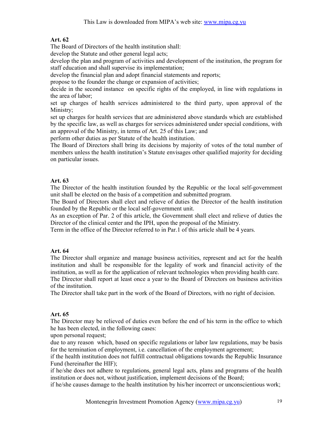The Board of Directors of the health institution shall:

develop the Statute and other general legal acts;

develop the plan and program of activities and development of the institution, the program for staff education and shall supervise its implementation;

develop the financial plan and adopt financial statements and reports;

propose to the founder the change or expansion of activities;

decide in the second instance on specific rights of the employed, in line with regulations in the area of labor;

set up charges of health services administered to the third party, upon approval of the Ministry;

set up charges for health services that are administered above standards which are established by the specific law, as well as charges for services administered under special conditions, with an approval of the Ministry, in terms of Art. 25 of this Law; and

perform other duties as per Statute of the health institution.

The Board of Directors shall bring its decisions by majority of votes of the total number of members unless the health institution's Statute envisages other qualified majority for deciding on particular issues.

# Art. 63

The Director of the health institution founded by the Republic or the local self-government unit shall be elected on the basis of a competition and submitted program.

The Board of Directors shall elect and relieve of duties the Director of the health institution founded by the Republic or the local self-government unit.

As an exception of Par. 2 of this article, the Government shall elect and relieve of duties the Director of the clinical center and the IPH, upon the proposal of the Ministry.

Term in the office of the Director referred to in Par.1 of this article shall be 4 years.

# Art. 64

The Director shall organize and manage business activities, represent and act for the health institution and shall be responsible for the legality of work and financial activity of the institution, as well as for the application of relevant technologies when providing health care. The Director shall report at least once a year to the Board of Directors on business activities

of the institution.

The Director shall take part in the work of the Board of Directors, with no right of decision.

## Art. 65

The Director may be relieved of duties even before the end of his term in the office to which he has been elected, in the following cases:

upon personal request;

due to any reason which, based on specific regulations or labor law regulations, may be basis for the termination of employment, i.e. cancellation of the employment agreement;

if the health institution does not fulfill contractual obligations towards the Republic Insurance Fund (hereinafter the HIF);

if he/she does not adhere to regulations, general legal acts, plans and programs of the health institution or does not, without justification, implement decisions of the Board;

if he/she causes damage to the health institution by his/her incorrect or unconscientious work;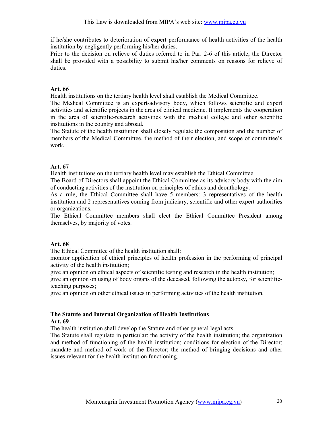if he/she contributes to deterioration of expert performance of health activities of the health institution by negligently performing his/her duties.

Prior to the decision on relieve of duties referred to in Par. 2-6 of this article, the Director shall be provided with a possibility to submit his/her comments on reasons for relieve of duties.

## Art. 66

Health institutions on the tertiary health level shall establish the Medical Committee.

The Medical Committee is an expert-advisory body, which follows scientific and expert activities and scientific projects in the area of clinical medicine. It implements the cooperation in the area of scientific-research activities with the medical college and other scientific institutions in the country and abroad.

The Statute of the health institution shall closely regulate the composition and the number of members of the Medical Committee, the method of their election, and scope of committee's work.

## Art. 67

Health institutions on the tertiary health level may establish the Ethical Committee.

The Board of Directors shall appoint the Ethical Committee as its advisory body with the aim of conducting activities of the institution on principles of ethics and deonthology.

As a rule, the Ethical Committee shall have 5 members: 3 representatives of the health institution and 2 representatives coming from judiciary, scientific and other expert authorities or organizations.

The Ethical Committee members shall elect the Ethical Committee President among themselves, by majority of votes.

## Art. 68

The Ethical Committee of the health institution shall:

monitor application of ethical principles of health profession in the performing of principal activity of the health institution;

give an opinion on ethical aspects of scientific testing and research in the health institution;

give an opinion on using of body organs of the deceased, following the autopsy, for scientificteaching purposes;

give an opinion on other ethical issues in performing activities of the health institution.

#### The Statute and Internal Organization of Health Institutions Art. 69

The health institution shall develop the Statute and other general legal acts.

The Statute shall regulate in particular: the activity of the health institution; the organization and method of functioning of the health institution; conditions for election of the Director; mandate and method of work of the Director; the method of bringing decisions and other issues relevant for the health institution functioning.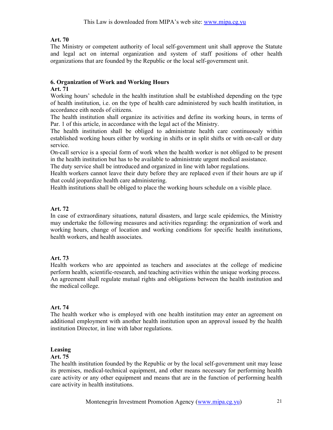The Ministry or competent authority of local self-government unit shall approve the Statute and legal act on internal organization and system of staff positions of other health organizations that are founded by the Republic or the local self-government unit.

## 6. Organization of Work and Working Hours

## Art. 71

Working hours' schedule in the health institution shall be established depending on the type of health institution, i.e. on the type of health care administered by such health institution, in accordance eith needs of citizens.

The health institution shall organize its activities and define its working hours, in terms of Par. 1 of this article, in accordance with the legal act of the Ministry.

The health institution shall be obliged to administrate health care continuously within established working hours either by working in shifts or in split shifts or with on-call or duty service.

On-call service is a special form of work when the health worker is not obliged to be present in the health institution but has to be available to administrate urgent medical assistance.

The duty service shall be introduced and organized in line with labor regulations.

Health workers cannot leave their duty before they are replaced even if their hours are up if that could jeopardize health care administering.

Health institutions shall be obliged to place the working hours schedule on a visible place.

## Art. 72

In case of extraordinary situations, natural disasters, and large scale epidemics, the Ministry may undertake the following measures and activities regarding: the organization of work and working hours, change of location and working conditions for specific health institutions, health workers, and health associates.

## Art. 73

Health workers who are appointed as teachers and associates at the college of medicine perform health, scientific-research, and teaching activities within the unique working process. An agreement shall regulate mutual rights and obligations between the health institution and the medical college.

## Art. 74

The health worker who is employed with one health institution may enter an agreement on additional employment with another health institution upon an approval issued by the health institution Director, in line with labor regulations.

## Leasing

## Art. 75

The health institution founded by the Republic or by the local self-government unit may lease its premises, medical-technical equipment, and other means necessary for performing health care activity or any other equipment and means that are in the function of performing health care activity in health institutions.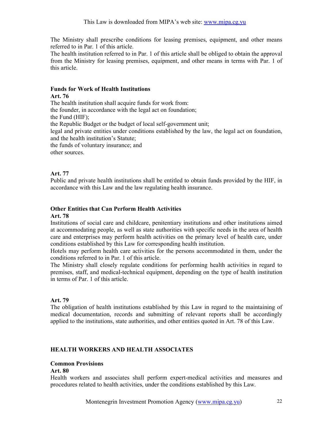The Ministry shall prescribe conditions for leasing premises, equipment, and other means referred to in Par. 1 of this article.

The health institution referred to in Par. 1 of this article shall be obliged to obtain the approval from the Ministry for leasing premises, equipment, and other means in terms with Par. 1 of this article.

#### Funds for Work of Health Institutions

#### Art. 76

The health institution shall acquire funds for work from: the founder, in accordance with the legal act on foundation; the Fund (HIF); the Republic Budget or the budget of local self-government unit; legal and private entities under conditions established by the law, the legal act on foundation, and the health institution's Statute; the funds of voluntary insurance; and other sources.

Art. 77

Public and private health institutions shall be entitled to obtain funds provided by the HIF, in accordance with this Law and the law regulating health insurance.

## Other Entities that Can Perform Health Activities

#### Art. 78

Institutions of social care and childcare, penitentiary institutions and other institutions aimed at accommodating people, as well as state authorities with specific needs in the area of health care and enterprises may perform health activities on the primary level of health care, under conditions established by this Law for corresponding health institution.

Hotels may perform health care activities for the persons accommodated in them, under the conditions referred to in Par. 1 of this article.

The Ministry shall closely regulate conditions for performing health activities in regard to premises, staff, and medical-technical equipment, depending on the type of health institution in terms of Par. 1 of this article.

## Art. 79

The obligation of health institutions established by this Law in regard to the maintaining of medical documentation, records and submitting of relevant reports shall be accordingly applied to the institutions, state authorities, and other entities quoted in Art. 78 of this Law.

## HEALTH WORKERS AND HEALTH ASSOCIATES

#### Common Provisions

## Art. 80

Health workers and associates shall perform expert-medical activities and measures and procedures related to health activities, under the conditions established by this Law.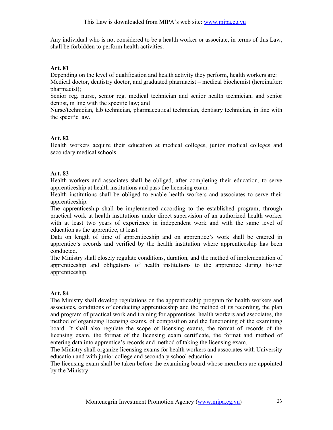Any individual who is not considered to be a health worker or associate, in terms of this Law, shall be forbidden to perform health activities.

## Art. 81

Depending on the level of qualification and health activity they perform, health workers are: Medical doctor, dentistry doctor, and graduated pharmacist – medical biochemist (hereinafter: pharmacist);

Senior reg. nurse, senior reg. medical technician and senior health technician, and senior dentist, in line with the specific law; and

Nurse/technician, lab technician, pharmaceutical technician, dentistry technician, in line with the specific law.

## Art. 82

Health workers acquire their education at medical colleges, junior medical colleges and secondary medical schools.

## Art. 83

Health workers and associates shall be obliged, after completing their education, to serve apprenticeship at health institutions and pass the licensing exam.

Health institutions shall be obliged to enable health workers and associates to serve their apprenticeship.

The apprenticeship shall be implemented according to the established program, through practical work at health institutions under direct supervision of an authorized health worker with at least two years of experience in independent work and with the same level of education as the apprentice, at least.

Data on length of time of apprenticeship and on apprentice's work shall be entered in apprentice's records and verified by the health institution where apprenticeship has been conducted.

The Ministry shall closely regulate conditions, duration, and the method of implementation of apprenticeship and obligations of health institutions to the apprentice during his/her apprenticeship.

## Art. 84

The Ministry shall develop regulations on the apprenticeship program for health workers and associates, conditions of conducting apprenticeship and the method of its recording, the plan and program of practical work and training for apprentices, health workers and associates, the method of organizing licensing exams, of composition and the functioning of the examining board. It shall also regulate the scope of licensing exams, the format of records of the licensing exam, the format of the licensing exam certificate, the format and method of entering data into apprentice's records and method of taking the licensing exam.

The Ministry shall organize licensing exams for health workers and associates with University education and with junior college and secondary school education.

The licensing exam shall be taken before the examining board whose members are appointed by the Ministry.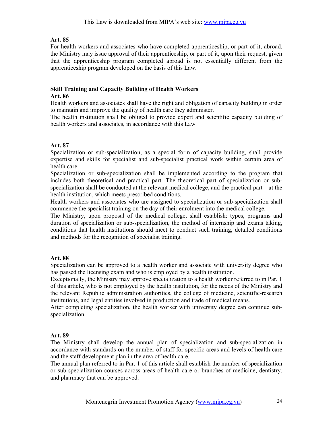For health workers and associates who have completed apprenticeship, or part of it, abroad, the Ministry may issue approval of their apprenticeship, or part of it, upon their request, given that the apprenticeship program completed abroad is not essentially different from the apprenticeship program developed on the basis of this Law.

# Skill Training and Capacity Building of Health Workers

#### Art. 86

Health workers and associates shall have the right and obligation of capacity building in order to maintain and improve the quality of health care they administer.

The health institution shall be obliged to provide expert and scientific capacity building of health workers and associates, in accordance with this Law.

## Art. 87

Specialization or sub-specialization, as a special form of capacity building, shall provide expertise and skills for specialist and sub-specialist practical work within certain area of health care.

Specialization or sub-specialization shall be implemented according to the program that includes both theoretical and practical part. The theoretical part of specialization or subspecialization shall be conducted at the relevant medical college, and the practical part – at the health institution, which meets prescribed conditions.

Health workers and associates who are assigned to specialization or sub-specialization shall commence the specialist training on the day of their enrolment into the medical college.

The Ministry, upon proposal of the medical college, shall establish: types, programs and duration of specialization or sub-specialization, the method of internship and exams taking, conditions that health institutions should meet to conduct such training, detailed conditions and methods for the recognition of specialist training.

## Art. 88

Specialization can be approved to a health worker and associate with university degree who has passed the licensing exam and who is employed by a health institution.

Exceptionally, the Ministry may approve specialization to a health worker referred to in Par. 1 of this article, who is not employed by the health institution, for the needs of the Ministry and the relevant Republic administration authorities, the college of medicine, scientific-research institutions, and legal entities involved in production and trade of medical means.

After completing specialization, the health worker with university degree can continue subspecialization.

## Art. 89

The Ministry shall develop the annual plan of specialization and sub-specialization in accordance with standards on the number of staff for specific areas and levels of health care and the staff development plan in the area of health care.

The annual plan referred to in Par. 1 of this article shall establish the number of specialization or sub-specialization courses across areas of health care or branches of medicine, dentistry, and pharmacy that can be approved.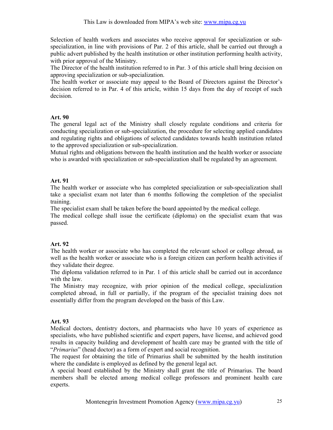Selection of health workers and associates who receive approval for specialization or subspecialization, in line with provisions of Par. 2 of this article, shall be carried out through a public advert published by the health institution or other institution performing health activity, with prior approval of the Ministry.

The Director of the health institution referred to in Par. 3 of this article shall bring decision on approving specialization or sub-specialization.

The health worker or associate may appeal to the Board of Directors against the Director's decision referred to in Par. 4 of this article, within 15 days from the day of receipt of such decision.

#### Art. 90

The general legal act of the Ministry shall closely regulate conditions and criteria for conducting specialization or sub-specialization, the procedure for selecting applied candidates and regulating rights and obligations of selected candidates towards health institution related to the approved specialization or sub-specialization.

Mutual rights and obligations between the health institution and the health worker or associate who is awarded with specialization or sub-specialization shall be regulated by an agreement.

## Art. 91

The health worker or associate who has completed specialization or sub-specialization shall take a specialist exam not later than 6 months following the completion of the specialist training.

The specialist exam shall be taken before the board appointed by the medical college.

The medical college shall issue the certificate (diploma) on the specialist exam that was passed.

## Art. 92

The health worker or associate who has completed the relevant school or college abroad, as well as the health worker or associate who is a foreign citizen can perform health activities if they validate their degree.

The diploma validation referred to in Par. 1 of this article shall be carried out in accordance with the law.

The Ministry may recognize, with prior opinion of the medical college, specialization completed abroad, in full or partially, if the program of the specialist training does not essentially differ from the program developed on the basis of this Law.

## Art. 93

Medical doctors, dentistry doctors, and pharmacists who have 10 years of experience as specialists, who have published scientific and expert papers, have license, and achieved good results in capacity building and development of health care may be granted with the title of "Primarius" (head doctor) as a form of expert and social recognition.

The request for obtaining the title of Primarius shall be submitted by the health institution where the candidate is employed as defined by the general legal act.

A special board established by the Ministry shall grant the title of Primarius. The board members shall be elected among medical college professors and prominent health care experts.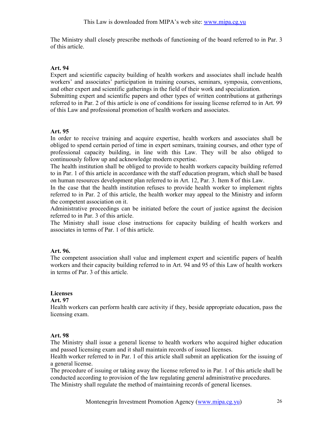The Ministry shall closely prescribe methods of functioning of the board referred to in Par. 3 of this article.

#### Art. 94

Expert and scientific capacity building of health workers and associates shall include health workers' and associates' participation in training courses, seminars, symposia, conventions, and other expert and scientific gatherings in the field of their work and specialization.

Submitting expert and scientific papers and other types of written contributions at gatherings referred to in Par. 2 of this article is one of conditions for issuing license referred to in Art. 99 of this Law and professional promotion of health workers and associates.

#### Art. 95

In order to receive training and acquire expertise, health workers and associates shall be obliged to spend certain period of time in expert seminars, training courses, and other type of professional capacity building, in line with this Law. They will be also obliged to continuously follow up and acknowledge modern expertise.

The health institution shall be obliged to provide to health workers capacity building referred to in Par. 1 of this article in accordance with the staff education program, which shall be based on human resources development plan referred to in Art. 12, Par. 3. Item 8 of this Law.

In the case that the health institution refuses to provide health worker to implement rights referred to in Par. 2 of this article, the health worker may appeal to the Ministry and inform the competent association on it.

Administrative proceedings can be initiated before the court of justice against the decision referred to in Par. 3 of this article.

The Ministry shall issue close instructions for capacity building of health workers and associates in terms of Par. 1 of this article.

## Art. 96.

The competent association shall value and implement expert and scientific papers of health workers and their capacity building referred to in Art. 94 and 95 of this Law of health workers in terms of Par. 3 of this article.

## Licenses

#### Art. 97

Health workers can perform health care activity if they, beside appropriate education, pass the licensing exam.

## Art. 98

The Ministry shall issue a general license to health workers who acquired higher education and passed licensing exam and it shall maintain records of issued licenses.

Health worker referred to in Par. 1 of this article shall submit an application for the issuing of a general license.

The procedure of issuing or taking away the license referred to in Par. 1 of this article shall be conducted according to provision of the law regulating general administrative procedures. The Ministry shall regulate the method of maintaining records of general licenses.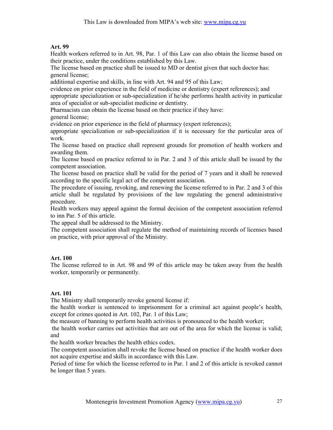Health workers referred to in Art. 98, Par. 1 of this Law can also obtain the license based on their practice, under the conditions established by this Law.

The license based on practice shall be issued to MD or dentist given that such doctor has: general license;

additional expertise and skills, in line with Art. 94 and 95 of this Law;

evidence on prior experience in the field of medicine or dentistry (expert references); and

appropriate specialization or sub-specialization if he/she performs health activity in particular area of specialist or sub-specialist medicine or dentistry.

Pharmacists can obtain the license based on their practice if they have: general license;

evidence on prior experience in the field of pharmacy (expert references);

appropriate specialization or sub-specialization if it is necessary for the particular area of work.

The license based on practice shall represent grounds for promotion of health workers and awarding them.

The license based on practice referred to in Par. 2 and 3 of this article shall be issued by the competent association.

The license based on practice shall be valid for the period of 7 years and it shall be renewed according to the specific legal act of the competent association.

The procedure of issuing, revoking, and renewing the license referred to in Par. 2 and 3 of this article shall be regulated by provisions of the law regulating the general administrative procedure.

Health workers may appeal against the formal decision of the competent association referred to inn Par. 5 of this article.

The appeal shall be addressed to the Ministry.

The competent association shall regulate the method of maintaining records of licenses based on practice, with prior approval of the Ministry.

## Art. 100

The license referred to in Art. 98 and 99 of this article may be taken away from the health worker, temporarily or permanently.

## Art. 101

The Ministry shall temporarily revoke general license if:

the health worker is sentenced to imprisonment for a criminal act against people's health, except for crimes quoted in Art. 102, Par. 1 of this Law;

the measure of banning to perform health activities is pronounced to the health worker;

 the health worker carries out activities that are out of the area for which the license is valid; and

the health worker breaches the health ethics codex.

The competent association shall revoke the license based on practice if the health worker does not acquire expertise and skills in accordance with this Law.

Period of time for which the license referred to in Par. 1 and 2 of this article is revoked cannot be longer than 5 years.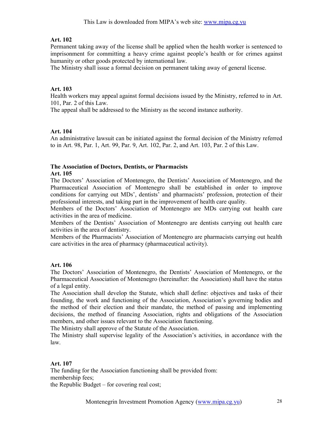Permanent taking away of the license shall be applied when the health worker is sentenced to imprisonment for committing a heavy crime against people's health or for crimes against humanity or other goods protected by international law.

The Ministry shall issue a formal decision on permanent taking away of general license.

## Art. 103

Health workers may appeal against formal decisions issued by the Ministry, referred to in Art. 101, Par. 2 of this Law.

The appeal shall be addressed to the Ministry as the second instance authority.

## Art. 104

An administrative lawsuit can be initiated against the formal decision of the Ministry referred to in Art. 98, Par. 1, Art. 99, Par. 9, Art. 102, Par. 2, and Art. 103, Par. 2 of this Law.

#### The Association of Doctors, Dentists, or Pharmacists

#### Art. 105

The Doctors' Association of Montenegro, the Dentists' Association of Montenegro, and the Pharmaceutical Association of Montenegro shall be established in order to improve conditions for carrying out MDs', dentists' and pharmacists' profession, protection of their professional interests, and taking part in the improvement of health care quality.

Members of the Doctors' Association of Montenegro are MDs carrying out health care activities in the area of medicine.

Members of the Dentists' Association of Montenegro are dentists carrying out health care activities in the area of dentistry.

Members of the Pharmacists' Association of Montenegro are pharmacists carrying out health care activities in the area of pharmacy (pharmaceutical activity).

## Art. 106

The Doctors' Association of Montenegro, the Dentists' Association of Montenegro, or the Pharmaceutical Association of Montenegro (hereinafter: the Association) shall have the status of a legal entity.

The Association shall develop the Statute, which shall define: objectives and tasks of their founding, the work and functioning of the Association, Association's governing bodies and the method of their election and their mandate, the method of passing and implementing decisions, the method of financing Association, rights and obligations of the Association members, and other issues relevant to the Association functioning.

The Ministry shall approve of the Statute of the Association.

The Ministry shall supervise legality of the Association's activities, in accordance with the law.

#### Art. 107

The funding for the Association functioning shall be provided from: membership fees;

the Republic Budget – for covering real cost;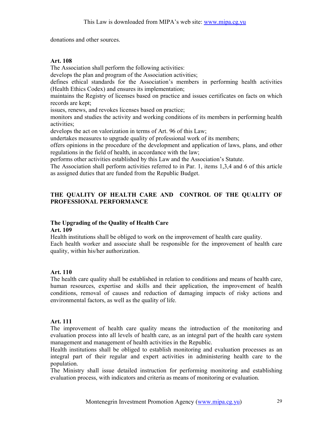donations and other sources.

#### Art. 108

The Association shall perform the following activities:

develops the plan and program of the Association activities;

defines ethical standards for the Association's members in performing health activities (Health Ethics Codex) and ensures its implementation;

maintains the Registry of licenses based on practice and issues certificates on facts on which records are kept;

issues, renews, and revokes licenses based on practice;

monitors and studies the activity and working conditions of its members in performing health activities;

develops the act on valorization in terms of Art. 96 of this Law;

undertakes measures to upgrade quality of professional work of its members;

offers opinions in the procedure of the development and application of laws, plans, and other regulations in the field of health, in accordance with the law;

performs other activities established by this Law and the Association's Statute.

The Association shall perform activities referred to in Par. 1, items 1,3,4 and 6 of this article as assigned duties that are funded from the Republic Budget.

## THE QUALITY OF HEALTH CARE AND CONTROL OF THE QUALITY OF PROFESSIONAL PERFORMANCE

## The Upgrading of the Quality of Health Care

#### Art. 109

Health institutions shall be obliged to work on the improvement of health care quality. Each health worker and associate shall be responsible for the improvement of health care quality, within his/her authorization.

## Art. 110

The health care quality shall be established in relation to conditions and means of health care, human resources, expertise and skills and their application, the improvement of health conditions, removal of causes and reduction of damaging impacts of risky actions and environmental factors, as well as the quality of life.

#### Art. 111

The improvement of health care quality means the introduction of the monitoring and evaluation process into all levels of health care, as an integral part of the health care system management and management of health activities in the Republic.

Health institutions shall be obliged to establish monitoring and evaluation processes as an integral part of their regular and expert activities in administering health care to the population.

The Ministry shall issue detailed instruction for performing monitoring and establishing evaluation process, with indicators and criteria as means of monitoring or evaluation.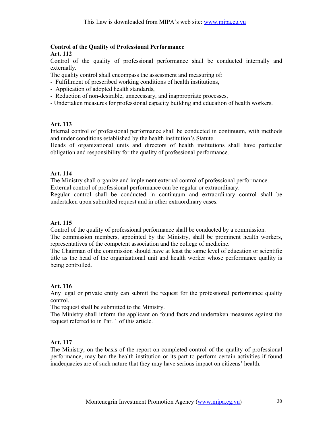#### Control of the Quality of Professional Performance Art. 112

Control of the quality of professional performance shall be conducted internally and externally.

The quality control shall encompass the assessment and measuring of:

- Fulfillment of prescribed working conditions of health institutions,

- Application of adopted health standards,
- Reduction of non-desirable, unnecessary, and inappropriate processes,
- Undertaken measures for professional capacity building and education of health workers.

## Art. 113

Internal control of professional performance shall be conducted in continuum, with methods and under conditions established by the health institution's Statute.

Heads of organizational units and directors of health institutions shall have particular obligation and responsibility for the quality of professional performance.

#### Art. 114

The Ministry shall organize and implement external control of professional performance. External control of professional performance can be regular or extraordinary.

Regular control shall be conducted in continuum and extraordinary control shall be undertaken upon submitted request and in other extraordinary cases.

#### Art. 115

Control of the quality of professional performance shall be conducted by a commission.

The commission members, appointed by the Ministry, shall be prominent health workers, representatives of the competent association and the college of medicine.

The Chairman of the commission should have at least the same level of education or scientific title as the head of the organizational unit and health worker whose performance quality is being controlled.

## Art. 116

Any legal or private entity can submit the request for the professional performance quality control.

The request shall be submitted to the Ministry.

The Ministry shall inform the applicant on found facts and undertaken measures against the request referred to in Par. 1 of this article.

#### Art. 117

The Ministry, on the basis of the report on completed control of the quality of professional performance, may ban the health institution or its part to perform certain activities if found inadequacies are of such nature that they may have serious impact on citizens' health.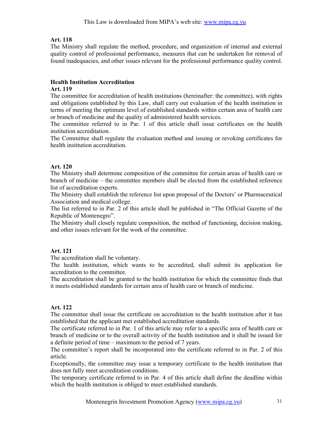The Ministry shall regulate the method, procedure, and organization of internal and external quality control of professional performance, measures that can be undertaken for removal of found inadequacies, and other issues relevant for the professional performance quality control.

## Health Institution Accreditation

#### Art. 119

The committee for accreditation of health institutions (hereinafter: the committee), with rights and obligations established by this Law, shall carry out evaluation of the health institution in terms of meeting the optimum level of established standards within certain area of health care or branch of medicine and the quality of administered health services.

The committee referred to in Par. 1 of this article shall issue certificates on the health institution accreditation.

The Committee shall regulate the evaluation method and issuing or revoking certificates for health institution accreditation.

#### Art. 120

The Ministry shall determine composition of the committee for certain areas of health care or branch of medicine – the committee members shall be elected from the established reference list of accreditation experts.

The Ministry shall establish the reference list upon proposal of the Doctors' or Pharmaceutical Association and medical college.

The list referred to in Par. 2 of this article shall be published in "The Official Gazette of the Republic of Montenegro".

The Ministry shall closely regulate composition, the method of functioning, decision making, and other issues relevant for the work of the committee.

## Art. 121

The accreditation shall be voluntary.

The health institution, which wants to be accredited, shall submit its application for accreditation to the committee.

The accreditation shall be granted to the health institution for which the committee finds that it meets established standards for certain area of health care or branch of medicine.

## Art. 122

The committee shall issue the certificate on accreditation to the health institution after it has established that the applicant met established accreditation standards.

The certificate referred to in Par. 1 of this article may refer to a specific area of health care or branch of medicine or to the overall activity of the health institution and it shall be issued for a definite period of time – maximum to the period of 7 years.

The committee's report shall be incorporated into the certificate referred to in Par. 2 of this article.

Exceptionally, the committee may issue a temporary certificate to the health institution that does not fully meet accreditation conditions.

The temporary certificate referred to in Par. 4 of this article shall define the deadline within which the health institution is obliged to meet established standards.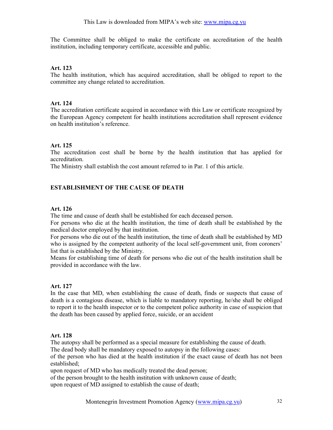The Committee shall be obliged to make the certificate on accreditation of the health institution, including temporary certificate, accessible and public.

## Art. 123

The health institution, which has acquired accreditation, shall be obliged to report to the committee any change related to accreditation.

## Art. 124

The accreditation certificate acquired in accordance with this Law or certificate recognized by the European Agency competent for health institutions accreditation shall represent evidence on health institution's reference.

## Art. 125

The accreditation cost shall be borne by the health institution that has applied for accreditation.

The Ministry shall establish the cost amount referred to in Par. 1 of this article.

# ESTABLISHMENT OF THE CAUSE OF DEATH

## Art. 126

The time and cause of death shall be established for each deceased person.

For persons who die at the health institution, the time of death shall be established by the medical doctor employed by that institution.

For persons who die out of the health institution, the time of death shall be established by MD who is assigned by the competent authority of the local self-government unit, from coroners' list that is established by the Ministry.

Means for establishing time of death for persons who die out of the health institution shall be provided in accordance with the law.

## Art. 127

In the case that MD, when establishing the cause of death, finds or suspects that cause of death is a contagious disease, which is liable to mandatory reporting, he/she shall be obliged to report it to the health inspector or to the competent police authority in case of suspicion that the death has been caused by applied force, suicide, or an accident

## Art. 128

The autopsy shall be performed as a special measure for establishing the cause of death.

The dead body shall be mandatory exposed to autopsy in the following cases:

of the person who has died at the health institution if the exact cause of death has not been established;

upon request of MD who has medically treated the dead person;

of the person brought to the health institution with unknown cause of death;

upon request of MD assigned to establish the cause of death;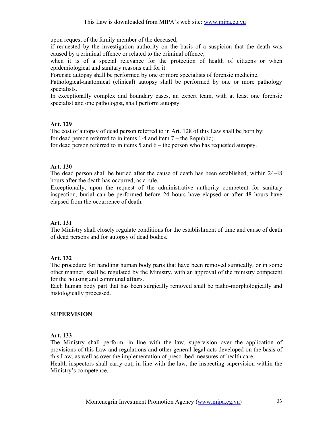upon request of the family member of the deceased;

if requested by the investigation authority on the basis of a suspicion that the death was caused by a criminal offence or related to the criminal offence;

when it is of a special relevance for the protection of health of citizens or when epidemiological and sanitary reasons call for it.

Forensic autopsy shall be performed by one or more specialists of forensic medicine.

Pathological-anatomical (clinical) autopsy shall be performed by one or more pathology specialists.

In exceptionally complex and boundary cases, an expert team, with at least one forensic specialist and one pathologist, shall perform autopsy.

## Art. 129

The cost of autopsy of dead person referred to in Art. 128 of this Law shall be born by: for dead person referred to in items 1-4 and item 7 – the Republic;

for dead person referred to in items 5 and 6 – the person who has requested autopsy.

## Art. 130

The dead person shall be buried after the cause of death has been established, within 24-48 hours after the death has occurred, as a rule.

Exceptionally, upon the request of the administrative authority competent for sanitary inspection, burial can be performed before 24 hours have elapsed or after 48 hours have elapsed from the occurrence of death.

## Art. 131

The Ministry shall closely regulate conditions for the establishment of time and cause of death of dead persons and for autopsy of dead bodies.

## Art. 132

The procedure for handling human body parts that have been removed surgically, or in some other manner, shall be regulated by the Ministry, with an approval of the ministry competent for the housing and communal affairs.

Each human body part that has been surgically removed shall be patho-morphologically and histologically processed.

## SUPERVISION

#### Art. 133

The Ministry shall perform, in line with the law, supervision over the application of provisions of this Law and regulations and other general legal acts developed on the basis of this Law, as well as over the implementation of prescribed measures of health care.

Health inspectors shall carry out, in line with the law, the inspecting supervision within the Ministry's competence.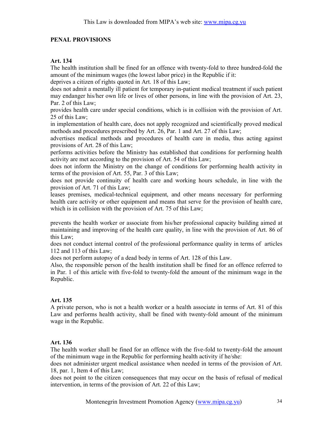## PENAL PROVISIONS

## Art. 134

The health institution shall be fined for an offence with twenty-fold to three hundred-fold the amount of the minimum wages (the lowest labor price) in the Republic if it:

deprives a citizen of rights quoted in Art. 18 of this Law;

does not admit a mentally ill patient for temporary in-patient medical treatment if such patient may endanger his/her own life or lives of other persons, in line with the provision of Art. 23, Par. 2 of this Law;

provides health care under special conditions, which is in collision with the provision of Art. 25 of this Law;

in implementation of health care, does not apply recognized and scientifically proved medical methods and procedures prescribed by Art. 26, Par. 1 and Art. 27 of this Law;

advertises medical methods and procedures of health care in media, thus acting against provisions of Art. 28 of this Law;

performs activities before the Ministry has established that conditions for performing health activity are met according to the provision of Art. 54 of this Law;

does not inform the Ministry on the change of conditions for performing health activity in terms of the provision of Art. 55, Par. 3 of this Law;

does not provide continuity of health care and working hours schedule, in line with the provision of Art. 71 of this Law;

leases premises, medical-technical equipment, and other means necessary for performing health care activity or other equipment and means that serve for the provision of health care, which is in collision with the provision of Art. 75 of this Law;

prevents the health worker or associate from his/her professional capacity building aimed at maintaining and improving of the health care quality, in line with the provision of Art. 86 of this Law;

does not conduct internal control of the professional performance quality in terms of articles 112 and 113 of this Law;

does not perform autopsy of a dead body in terms of Art. 128 of this Law.

Also, the responsible person of the health institution shall be fined for an offence referred to in Par. 1 of this article with five-fold to twenty-fold the amount of the minimum wage in the Republic.

## Art. 135

A private person, who is not a health worker or a health associate in terms of Art. 81 of this Law and performs health activity, shall be fined with twenty-fold amount of the minimum wage in the Republic.

## Art. 136

The health worker shall be fined for an offence with the five-fold to twenty-fold the amount of the minimum wage in the Republic for performing health activity if he/she:

does not administer urgent medical assistance when needed in terms of the provision of Art. 18, par. 1, Item 4 of this Law;

does not point to the citizen consequences that may occur on the basis of refusal of medical intervention, in terms of the provision of Art. 22 of this Law;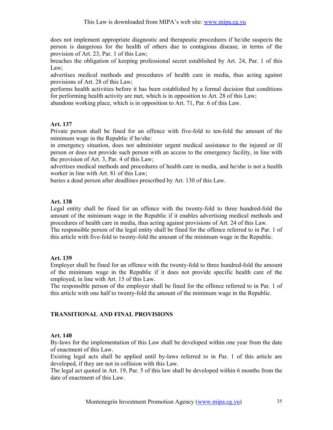does not implement appropriate diagnostic and therapeutic procedures if he/she suspects the person is dangerous for the health of others due to contagious disease, in terms of the provision of Art. 23, Par. 1 of this Law;

breaches the obligation of keeping professional secret established by Art. 24, Par. 1 of this Law;

advertises medical methods and procedures of health care in media, thus acting against provisions of Art. 28 of this Law;

performs health activities before it has been established by a formal decision that conditions for performing health activity are met, which is in opposition to Art. 28 of this Law;

abandons working place, which is in opposition to Art. 71, Par. 6 of this Law.

## Art. 137

Private person shall be fined for an offence with five-fold to ten-fold the amount of the minimum wage in the Republic if he/she:

in emergency situation, does not administer urgent medical assistance to the injured or ill person or does not provide such person with an access to the emergency facility, in line with the provision of Art. 3, Par. 4 of this Law;

advertises medical methods and procedures of health care in media, and he/she is not a health worker in line with Art. 81 of this Law;

buries a dead person after deadlines prescribed by Art. 130 of this Law.

## Art. 138

Legal entity shall be fined for an offence with the twenty-fold to three hundred-fold the amount of the minimum wage in the Republic if it enables advertising medical methods and procedures of health care in media, thus acting against provisions of Art. 24 of this Law. The responsible person of the legal entity shall be fined for the offence referred to in Par. 1 of this article with five-fold to twenty-fold the amount of the minimum wage in the Republic.

## Art. 139

Employer shall be fined for an offence with the twenty-fold to three hundred-fold the amount of the minimum wage in the Republic if it does not provide specific health care of the employed, in line with Art. 15 of this Law.

The responsible person of the employer shall be fined for the offence referred to in Par. 1 of this article with one half to twenty-fold the amount of the minimum wage in the Republic.

## TRANSITIONAL AND FINAL PROVISIONS

## Art. 140

By-laws for the implementation of this Law shall be developed within one year from the date of enactment of this Law.

Existing legal acts shall be applied until by-laws referred to in Par. 1 of this article are developed, if they are not in collision with this Law.

The legal act quoted in Art. 19, Par. 5 of this law shall be developed within 6 months from the date of enactment of this Law.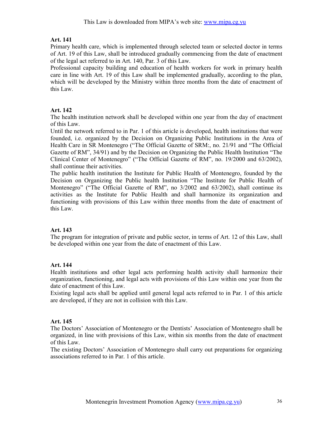Primary health care, which is implemented through selected team or selected doctor in terms of Art. 19 of this Law, shall be introduced gradually commencing from the date of enactment of the legal act referred to in Art. 140, Par. 3 of this Law.

Professional capacity building and education of health workers for work in primary health care in line with Art. 19 of this Law shall be implemented gradually, according to the plan, which will be developed by the Ministry within three months from the date of enactment of this Law.

## Art. 142

The health institution network shall be developed within one year from the day of enactment of this Law.

Until the network referred to in Par. 1 of this article is developed, health institutions that were founded, i.e. organized by the Decision on Organizing Public Institutions in the Area of Health Care in SR Montenegro ("The Official Gazette of SRM:, no. 21/91 and "The Official Gazette of RM", 34/91) and by the Decision on Organizing the Public Health Institution "The Clinical Center of Montenegro" ("The Official Gazette of RM", no. 19/2000 and 63/2002), shall continue their activities.

The public health institution the Institute for Public Health of Montenegro, founded by the Decision on Organizing the Public health Institution "The Institute for Public Health of Montenegro" ("The Official Gazette of RM", no 3/2002 and 63/2002), shall continue its activities as the Institute for Public Health and shall harmonize its organization and functioning with provisions of this Law within three months from the date of enactment of this Law.

## Art. 143

The program for integration of private and public sector, in terms of Art. 12 of this Law, shall be developed within one year from the date of enactment of this Law.

## Art. 144

Health institutions and other legal acts performing health activity shall harmonize their organization, functioning, and legal acts with provisions of this Law within one year from the date of enactment of this Law.

Existing legal acts shall be applied until general legal acts referred to in Par. 1 of this article are developed, if they are not in collision with this Law.

## Art. 145

The Doctors' Association of Montenegro or the Dentists' Association of Montenegro shall be organized, in line with provisions of this Law, within six months from the date of enactment of this Law.

The existing Doctors' Association of Montenegro shall carry out preparations for organizing associations referred to in Par. 1 of this article.